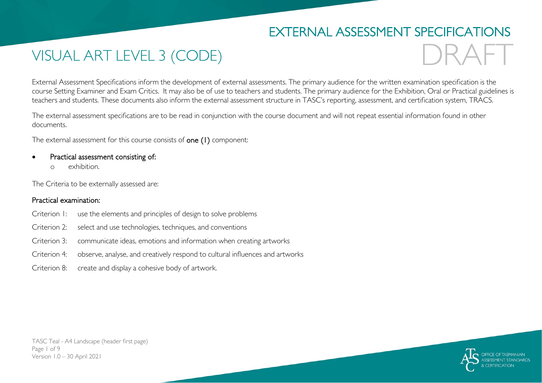## EXTERNAL ASSESSMENT SPECIFICATIONS

# VISUAL ART LEVEL 3 (CODE)

DRAFT

External Assessment Specifications inform the development of external assessments. The primary audience for the written examination specification is the course Setting Examiner and Exam Critics. It may also be of use to teachers and students. The primary audience for the Exhibition, Oral or Practical guidelines is teachers and students. These documents also inform the external assessment structure in TASC's reporting, assessment, and certification system, TRACS.

The external assessment specifications are to be read in conjunction with the course document and will not repeat essential information found in other documents.

The external assessment for this course consists of one (1) component:

- Practical assessment consisting of:
	- o exhibition.

The Criteria to be externally assessed are:

#### Practical examination:

- Criterion 1: use the elements and principles of design to solve problems
- Criterion 2: select and use technologies, techniques, and conventions
- Criterion 3: communicate ideas, emotions and information when creating artworks
- Criterion 4: observe, analyse, and creatively respond to cultural influences and artworks
- Criterion 8: create and display a cohesive body of artwork.

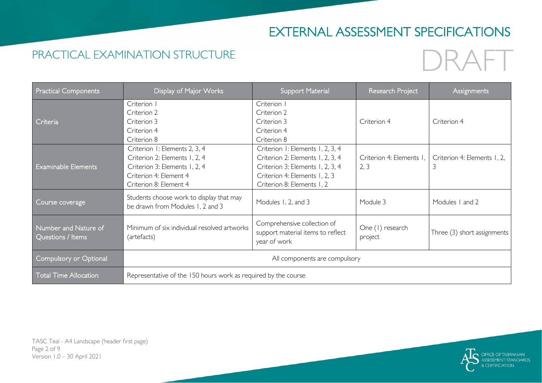# EXTERNAL ASSESSMENT SPECIFICATIONS

### PRACTICAL EXAMINATION STRUCTURE

# DRAFT

| <b>Practical Components</b>               | Display of Major Works                                                                                                                              | <b>Support Material</b>                                                                                                                                                 | Research Project                 | <b>Assignments</b>               |  |
|-------------------------------------------|-----------------------------------------------------------------------------------------------------------------------------------------------------|-------------------------------------------------------------------------------------------------------------------------------------------------------------------------|----------------------------------|----------------------------------|--|
| Criteria                                  | Criterion I<br>Criterion 2<br>Criterion 3<br>Criterion 4<br>Criterion 8                                                                             | Criterion I<br>Criterion 2<br>Criterion 3<br>Criterion 4<br>Criterion 8                                                                                                 | Criterion 4                      | Criterion 4                      |  |
| <b>Examinable Elements</b>                | Criterion I: Elements 2, 3, 4<br>Criterion 2: Elements 1, 2, 4<br>Criterion 3: Elements 1, 2, 4<br>Criterion 4: Element 4<br>Criterion 8: Element 4 | Criterion I: Elements I, 2, 3, 4<br>Criterion 2: Elements 1, 2, 3, 4<br>Criterion 3: Elements 1, 2, 3, 4<br>Criterion 4: Elements 1, 2, 3<br>Criterion 8: Elements 1, 2 | Criterion 4: Elements I,<br>2, 3 | Criterion 4: Elements 1, 2,<br>3 |  |
| Course coverage                           | Students choose work to display that may<br>be drawn from Modules 1, 2 and 3                                                                        | Modules 1, 2, and 3                                                                                                                                                     | Module 3                         | Modules I and 2                  |  |
| Number and Nature of<br>Questions / Items | Minimum of six individual resolved artworks<br>(artefacts)                                                                                          | Comprehensive collection of<br>support material items to reflect<br>year of work                                                                                        | One (1) research<br>project      | Three (3) short assignments      |  |
| Compulsory or Optional                    | All components are compulsory                                                                                                                       |                                                                                                                                                                         |                                  |                                  |  |
| <b>Total Time Allocation</b>              | Representative of the 150 hours work as required by the course                                                                                      |                                                                                                                                                                         |                                  |                                  |  |

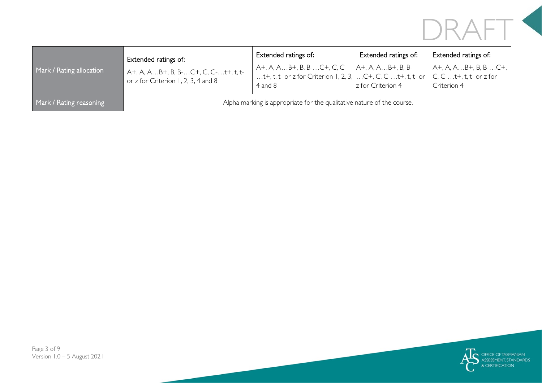# DRAFT<sup><</sup>

| Mark / Rating allocation | Extended ratings of:<br>A+, A, AB+, B, B-C+, C, C-t+, t, t-<br>or z for Criterion 1, 2, 3, 4 and 8 | Extended ratings of:<br>A+, A, AB+, B, B-C+, C, C- A+, A, AB+, B, B-<br>t+, t, t- or z for Criterion 1, 2, 3, $\left[C+, C, C, $ t+, t, t- or $\right]$<br>4 and 8 | Extended ratings of:<br>z for Criterion 4 | Extended ratings of:<br>$A+$ , A, AB+, B, B-C+,<br>$C, C$ - $t$ +, $t$ , $t$ - or $z$ for<br>Criterion 4 |  |
|--------------------------|----------------------------------------------------------------------------------------------------|--------------------------------------------------------------------------------------------------------------------------------------------------------------------|-------------------------------------------|----------------------------------------------------------------------------------------------------------|--|
| Mark / Rating reasoning  | Alpha marking is appropriate for the qualitative nature of the course.                             |                                                                                                                                                                    |                                           |                                                                                                          |  |

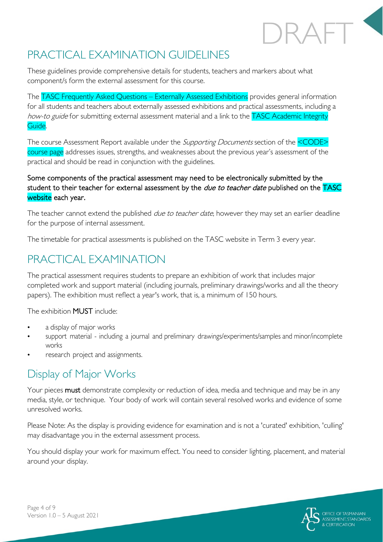# PRACTICAL EXAMINATION GUIDELINES

These guidelines provide comprehensive details for students, teachers and markers about what component/s form the external assessment for this course.

The TASC Frequently Asked Questions – Externally Assessed Exhibitions provides general information for all students and teachers about externally assessed exhibitions and practical assessments, including a how-to guide for submitting external assessment material and a link to the TASC Academic Integrity Guide.

The course Assessment Report available under the *Supporting Documents* section of the <CODE> course page addresses issues, strengths, and weaknesses about the previous year's assessment of the practical and should be read in conjunction with the guidelines.

### Some components of the practical assessment may need to be electronically submitted by the student to their teacher for external assessment by the *due to teacher date* published on the TASC website each year.

The teacher cannot extend the published *due to teacher date*, however they may set an earlier deadline for the purpose of internal assessment.

The timetable for practical assessments is published on the TASC website in Term 3 every year.

### PRACTICAL EXAMINATION

The practical assessment requires students to prepare an exhibition of work that includes major completed work and support material (including journals, preliminary drawings/works and all the theory papers). The exhibition must reflect a year's work, that is, a minimum of 150 hours.

The exhibition MUST include:

- a display of major works
- support material including a journal and preliminary drawings/experiments/samples and minor/incomplete works
- research project and assignments.

### Display of Major Works

Your pieces must demonstrate complexity or reduction of idea, media and technique and may be in any media, style, or technique. Your body of work will contain several resolved works and evidence of some unresolved works.

Please Note: As the display is providing evidence for examination and is not a 'curated' exhibition, 'culling' may disadvantage you in the external assessment process.

You should display your work for maximum effect. You need to consider lighting, placement, and material around your display.

DRAFT

a.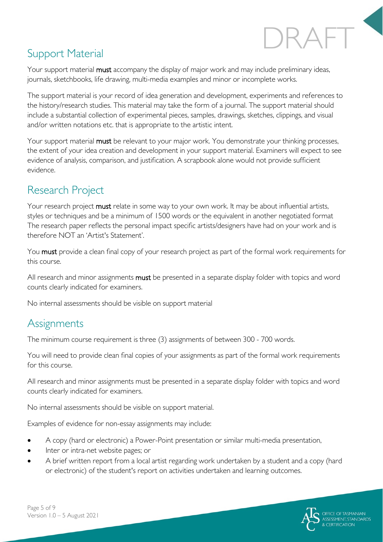# DRAFT

## Support Material

Your support material **must** accompany the display of major work and may include preliminary ideas, journals, sketchbooks, life drawing, multi-media examples and minor or incomplete works.

The support material is your record of idea generation and development, experiments and references to the history/research studies. This material may take the form of a journal. The support material should include a substantial collection of experimental pieces, samples, drawings, sketches, clippings, and visual and/or written notations etc. that is appropriate to the artistic intent.

Your support material **must** be relevant to your major work. You demonstrate your thinking processes, the extent of your idea creation and development in your support material. Examiners will expect to see evidence of analysis, comparison, and justification. A scrapbook alone would not provide sufficient evidence.

## Research Project

Your research project must relate in some way to your own work. It may be about influential artists, styles or techniques and be a minimum of 1500 words or the equivalent in another negotiated format The research paper reflects the personal impact specific artists/designers have had on your work and is therefore NOT an 'Artist's Statement'.

You must provide a clean final copy of your research project as part of the formal work requirements for this course.

All research and minor assignments must be presented in a separate display folder with topics and word counts clearly indicated for examiners.

No internal assessments should be visible on support material

## **Assignments**

The minimum course requirement is three (3) assignments of between 300 - 700 words.

You will need to provide clean final copies of your assignments as part of the formal work requirements for this course.

All research and minor assignments must be presented in a separate display folder with topics and word counts clearly indicated for examiners.

No internal assessments should be visible on support material.

Examples of evidence for non-essay assignments may include:

- A copy (hard or electronic) a Power-Point presentation or similar multi-media presentation,
- Inter or intra-net website pages; or
- A brief written report from a local artist regarding work undertaken by a student and a copy (hard or electronic) of the student's report on activities undertaken and learning outcomes.

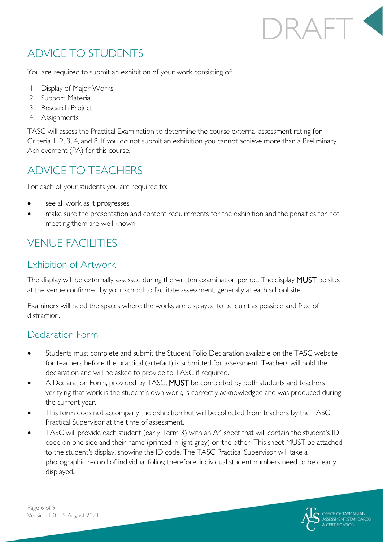# RAFT<sup>S</sup>

## ADVICE TO STUDENTS

You are required to submit an exhibition of your work consisting of:

- 1. Display of Major Works
- 2. Support Material
- 3. Research Project
- 4. Assignments

TASC will assess the Practical Examination to determine the course external assessment rating for Criteria 1, 2, 3, 4, and 8. If you do not submit an exhibition you cannot achieve more than a Preliminary Achievement (PA) for this course.

## ADVICE TO TEACHERS

For each of your students you are required to:

- see all work as it progresses
- make sure the presentation and content requirements for the exhibition and the penalties for not meeting them are well known

## VENUE FACILITIES

### Exhibition of Artwork

The display will be externally assessed during the written examination period. The display MUST be sited at the venue confirmed by your school to facilitate assessment, generally at each school site.

Examiners will need the spaces where the works are displayed to be quiet as possible and free of distraction.

### Declaration Form

- Students must complete and submit the Student Folio Declaration available on the TASC website for teachers before the practical (artefact) is submitted for assessment. Teachers will hold the declaration and will be asked to provide to TASC if required.
- A Declaration Form, provided by TASC, MUST be completed by both students and teachers verifying that work is the student's own work, is correctly acknowledged and was produced during the current year.
- This form does not accompany the exhibition but will be collected from teachers by the TASC Practical Supervisor at the time of assessment.
- TASC will provide each student (early Term 3) with an A4 sheet that will contain the student's ID code on one side and their name (printed in light grey) on the other. This sheet MUST be attached to the student's display, showing the ID code. The TASC Practical Supervisor will take a photographic record of individual folios; therefore, individual student numbers need to be clearly displayed.

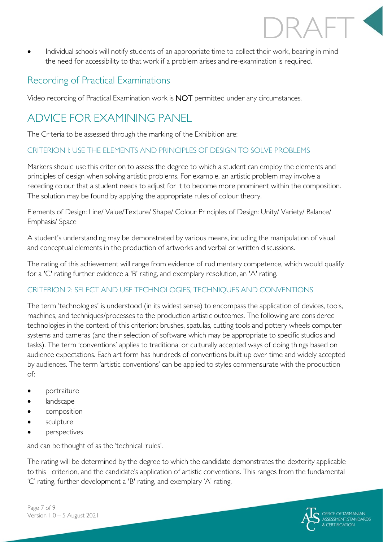Individual schools will notify students of an appropriate time to collect their work, bearing in mind the need for accessibility to that work if a problem arises and re-examination is required.

### Recording of Practical Examinations

Video recording of Practical Examination work is NOT permitted under any circumstances.

## ADVICE FOR EXAMINING PANEL

The Criteria to be assessed through the marking of the Exhibition are:

### CRITERION I: USE THE ELEMENTS AND PRINCIPLES OF DESIGN TO SOLVE PROBLEMS

Markers should use this criterion to assess the degree to which a student can employ the elements and principles of design when solving artistic problems. For example, an artistic problem may involve a receding colour that a student needs to adjust for it to become more prominent within the composition. The solution may be found by applying the appropriate rules of colour theory.

Elements of Design: Line/ Value/Texture/ Shape/ Colour Principles of Design: Unity/ Variety/ Balance/ Emphasis/ Space

A student's understanding may be demonstrated by various means, including the manipulation of visual and conceptual elements in the production of artworks and verbal or written discussions.

The rating of this achievement will range from evidence of rudimentary competence, which would qualify for a 'C' rating further evidence a 'B' rating, and exemplary resolution, an 'A' rating.

### CRITERION 2: SELECT AND USE TECHNOLOGIES, TECHNIQUES AND CONVENTIONS

The term 'technologies' is understood (in its widest sense) to encompass the application of devices, tools, machines, and techniques/processes to the production artistic outcomes. The following are considered technologies in the context of this criterion: brushes, spatulas, cutting tools and pottery wheels computer systems and cameras (and their selection of software which may be appropriate to specific studios and tasks). The term 'conventions' applies to traditional or culturally accepted ways of doing things based on audience expectations. Each art form has hundreds of conventions built up over time and widely accepted by audiences. The term 'artistic conventions' can be applied to styles commensurate with the production of:

- portraiture
- landscape
- composition
- sculpture
- **perspectives**

and can be thought of as the 'technical 'rules'.

The rating will be determined by the degree to which the candidate demonstrates the dexterity applicable to this criterion, and the candidate's application of artistic conventions. This ranges from the fundamental 'C' rating, further development a 'B' rating, and exemplary 'A' rating.

DRAFT

Page 7 of 9 Version 1.0 – 5 August 2021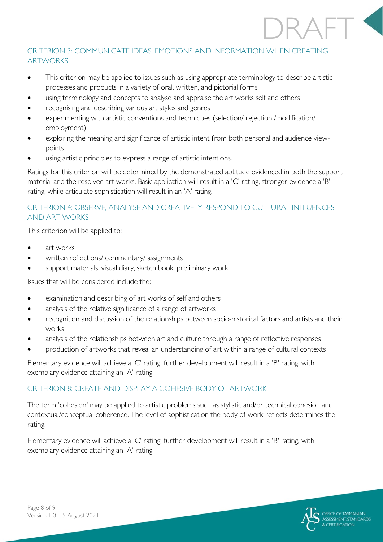### CRITERION 3: COMMUNICATE IDEAS, EMOTIONS AND INFORMATION WHEN CREATING ARTWORKS

- This criterion may be applied to issues such as using appropriate terminology to describe artistic processes and products in a variety of oral, written, and pictorial forms
- using terminology and concepts to analyse and appraise the art works self and others
- recognising and describing various art styles and genres
- experimenting with artistic conventions and techniques (selection/ rejection /modification/ employment)
- exploring the meaning and significance of artistic intent from both personal and audience viewpoints
- using artistic principles to express a range of artistic intentions.

Ratings for this criterion will be determined by the demonstrated aptitude evidenced in both the support material and the resolved art works. Basic application will result in a 'C' rating, stronger evidence a 'B' rating, while articulate sophistication will result in an 'A' rating.

### CRITERION 4: OBSERVE, ANALYSE AND CREATIVELY RESPOND TO CULTURAL INFLUENCES AND ART WORKS

This criterion will be applied to:

- art works
- written reflections/ commentary/ assignments
- support materials, visual diary, sketch book, preliminary work

Issues that will be considered include the:

- examination and describing of art works of self and others
- analysis of the relative significance of a range of artworks
- recognition and discussion of the relationships between socio-historical factors and artists and their works
- analysis of the relationships between art and culture through a range of reflective responses
- production of artworks that reveal an understanding of art within a range of cultural contexts

Elementary evidence will achieve a 'C' rating; further development will result in a 'B' rating, with exemplary evidence attaining an 'A' rating.

#### CRITERION 8: CREATE AND DISPLAY A COHESIVE BODY OF ARTWORK

The term 'cohesion' may be applied to artistic problems such as stylistic and/or technical cohesion and contextual/conceptual coherence. The level of sophistication the body of work reflects determines the rating.

Elementary evidence will achieve a 'C' rating; further development will result in a 'B' rating, with exemplary evidence attaining an 'A' rating.



DRAFT

Œ